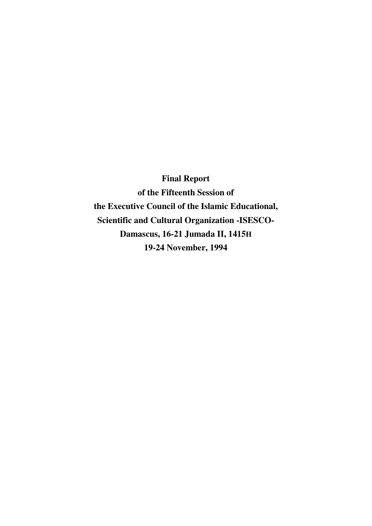**Final Report of the Fifteenth Session of the Executive Council of the Islamic Educational, Scientific and Cultural Organization -ISESCO-Damascus, 16-21 Jumada II, 1415H 19-24 November, 1994**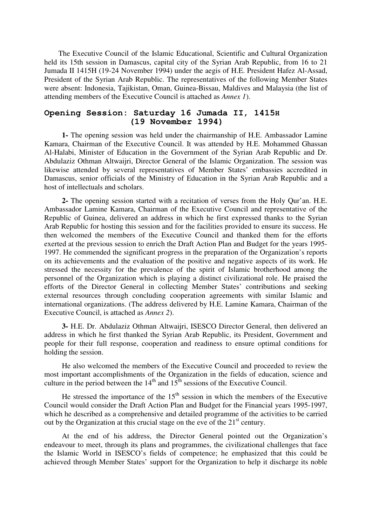The Executive Council of the Islamic Educational, Scientific and Cultural Organization held its 15th session in Damascus, capital city of the Syrian Arab Republic, from 16 to 21 Jumada II 1415H (19-24 November 1994) under the aegis of H.E. President Hafez Al-Assad, President of the Syrian Arab Republic. The representatives of the following Member States were absent: Indonesia, Tajikistan, Oman, Guinea-Bissau, Maldives and Malaysia (the list of attending members of the Executive Council is attached as *Annex 1*).

### **Opening Session: Saturday 16 Jumada II, 1415H (19 November 1994)**

**1-** The opening session was held under the chairmanship of H.E. Ambassador Lamine Kamara, Chairman of the Executive Council. It was attended by H.E. Mohammed Ghassan Al-Halabi, Minister of Education in the Government of the Syrian Arab Republic and Dr. Abdulaziz Othman Altwaijri, Director General of the Islamic Organization. The session was likewise attended by several representatives of Member States' embassies accredited in Damascus, senior officials of the Ministry of Education in the Syrian Arab Republic and a host of intellectuals and scholars.

**2-** The opening session started with a recitation of verses from the Holy Qur'an. H.E. Ambassador Lamine Kamara, Chairman of the Executive Council and representative of the Republic of Guinea, delivered an address in which he first expressed thanks to the Syrian Arab Republic for hosting this session and for the facilities provided to ensure its success. He then welcomed the members of the Executive Council and thanked them for the efforts exerted at the previous session to enrich the Draft Action Plan and Budget for the years 1995- 1997. He commended the significant progress in the preparation of the Organization's reports on its achievements and the evaluation of the positive and negative aspects of its work. He stressed the necessity for the prevalence of the spirit of Islamic brotherhood among the personnel of the Organization which is playing a distinct civilizational role. He praised the efforts of the Director General in collecting Member States' contributions and seeking external resources through concluding cooperation agreements with similar Islamic and international organizations. (The address delivered by H.E. Lamine Kamara, Chairman of the Executive Council, is attached as *Annex 2*).

**3-** H.E. Dr. Abdulaziz Othman Altwaijri, ISESCO Director General, then delivered an address in which he first thanked the Syrian Arab Republic, its President, Government and people for their full response, cooperation and readiness to ensure optimal conditions for holding the session.

He also welcomed the members of the Executive Council and proceeded to review the most important accomplishments of the Organization in the fields of education, science and culture in the period between the  $14<sup>th</sup>$  and  $15<sup>th</sup>$  sessions of the Executive Council.

He stressed the importance of the  $15<sup>th</sup>$  session in which the members of the Executive Council would consider the Draft Action Plan and Budget for the Financial years 1995-1997, which he described as a comprehensive and detailed programme of the activities to be carried out by the Organization at this crucial stage on the eve of the  $21<sup>st</sup>$  century.

At the end of his address, the Director General pointed out the Organization's endeavour to meet, through its plans and programmes, the civilizational challenges that face the Islamic World in ISESCO's fields of competence; he emphasized that this could be achieved through Member States' support for the Organization to help it discharge its noble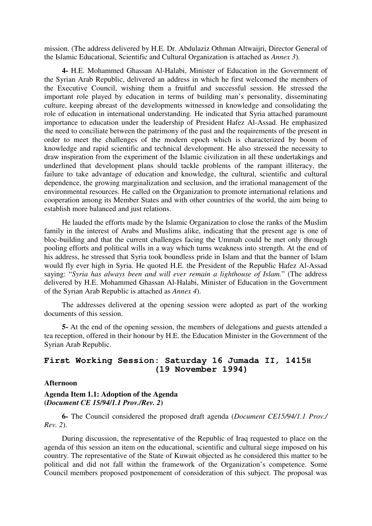mission. (The address delivered by H.E. Dr. Abdulaziz Othman Altwaijri, Director General of the Islamic Educational, Scientific and Cultural Organization is attached as *Annex 3*).

**4-** H.E. Mohammed Ghassan Al-Halabi, Minister of Education in the Government of the Syrian Arab Republic, delivered an address in which he first welcomed the members of the Executive Council, wishing them a fruitful and successful session. He stressed the important role played by education in terms of building man's personality, disseminating culture, keeping abreast of the developments witnessed in knowledge and consolidating the role of education in international understanding. He indicated that Syria attached paramount importance to education under the leadership of President Hafez Al-Assad. He emphasized the need to conciliate between the patrimony of the past and the requirements of the present in order to meet the challenges of the modern epoch which is characterized by boom of knowledge and rapid scientific and technical development. He also stressed the necessity to draw inspiration from the experiment of the Islamic civilization in all these undertakings and underlined that development plans should tackle problems of the rampant illiteracy, the failure to take advantage of education and knowledge, the cultural, scientific and cultural dependence, the growing marginalization and seclusion, and the irrational management of the environmental resources. He called on the Organization to promote international relations and cooperation among its Member States and with other countries of the world, the aim being to establish more balanced and just relations.

He lauded the efforts made by the Islamic Organization to close the ranks of the Muslim family in the interest of Arabs and Muslims alike, indicating that the present age is one of bloc-building and that the current challenges facing the Ummah could be met only through pooling efforts and political wills in a way which turns weakness into strength. At the end of his address, he stressed that Syria took boundless pride in Islam and that the banner of Islam would fly ever high in Syria. He quoted H.E. the President of the Republic Hafez Al-Assad saying: "*Syria has always been and will ever remain a lighthouse of Islam.*" (The address delivered by H.E. Mohammed Ghassan Al-Halabi, Minister of Education in the Government of the Syrian Arab Republic is attached as *Annex 4*).

The addresses delivered at the opening session were adopted as part of the working documents of this session.

**5-** At the end of the opening session, the members of delegations and guests attended a tea reception, offered in their honour by H.E. the Education Minister in the Government of the Syrian Arab Republic.

## **First Working Session: Saturday 16 Jumada II, 1415H (19 November 1994)**

#### **Afternoon**

### **Agenda Item 1.1: Adoption of the Agenda (***Document CE 15/94/1.1 Prov./Rev. 2***)**

**6-** The Council considered the proposed draft agenda (*Document CE15/94/1.1 Prov./ Rev. 2*).

During discussion, the representative of the Republic of Iraq requested to place on the agenda of this session an item on the educational, scientific and cultural siege imposed on his country. The representative of the State of Kuwait objected as he considered this matter to be political and did not fall within the framework of the Organization's competence. Some Council members proposed postponement of consideration of this subject. The proposal was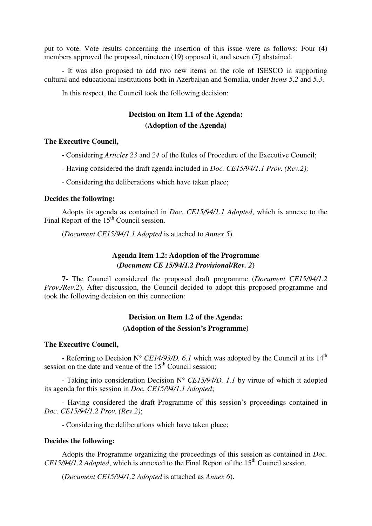put to vote. Vote results concerning the insertion of this issue were as follows: Four (4) members approved the proposal, nineteen (19) opposed it, and seven (7) abstained.

- It was also proposed to add two new items on the role of ISESCO in supporting cultural and educational institutions both in Azerbaijan and Somalia, under *Items 5.2* and *5.3*.

In this respect, the Council took the following decision:

# **Decision on Item 1.1 of the Agenda: (Adoption of the Agenda)**

#### **The Executive Council,**

**-** Considering *Articles 23* and *24* of the Rules of Procedure of the Executive Council;

- Having considered the draft agenda included in *Doc. CE15/94/1.1 Prov. (Rev.2);*
- Considering the deliberations which have taken place;

#### **Decides the following:**

Adopts its agenda as contained in *Doc. CE15/94/1.1 Adopted*, which is annexe to the Final Report of the  $15<sup>th</sup>$  Council session.

(*Document CE15/94/1.1 Adopted* is attached to *Annex 5*).

## **Agenda Item 1.2: Adoption of the Programme (***Document CE 15/94/1.2 Provisional/Rev. 2***)**

**7-** The Council considered the proposed draft programme (*Document CE15/94/1.2 Prov./Rev.2*). After discussion, the Council decided to adopt this proposed programme and took the following decision on this connection:

## **Decision on Item 1.2 of the Agenda: (Adoption of the Session's Programme)**

#### **The Executive Council,**

- Referring to Decision N° *CE14/93/D. 6.1* which was adopted by the Council at its 14<sup>th</sup> session on the date and venue of the  $15<sup>th</sup>$  Council session;

- Taking into consideration Decision N° *CE15/94/D. 1.1* by virtue of which it adopted its agenda for this session in *Doc. CE15/94/1.1 Adopted*;

- Having considered the draft Programme of this session's proceedings contained in *Doc. CE15/94/1.2 Prov. (Rev.2)*;

- Considering the deliberations which have taken place;

#### **Decides the following:**

Adopts the Programme organizing the proceedings of this session as contained in *Doc. CE15/94/1.2 Adopted*, which is annexed to the Final Report of the 15<sup>th</sup> Council session.

(*Document CE15/94/1.2 Adopted* is attached as *Annex 6*).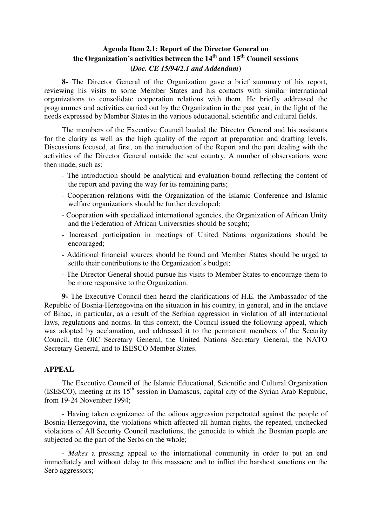## **Agenda Item 2.1: Report of the Director General on the Organization's activities between the 14th and 15th Council sessions (***Doc. CE 15/94/2.1 and Addendum***)**

**8-** The Director General of the Organization gave a brief summary of his report, reviewing his visits to some Member States and his contacts with similar international organizations to consolidate cooperation relations with them. He briefly addressed the programmes and activities carried out by the Organization in the past year, in the light of the needs expressed by Member States in the various educational, scientific and cultural fields.

The members of the Executive Council lauded the Director General and his assistants for the clarity as well as the high quality of the report at preparation and drafting levels. Discussions focused, at first, on the introduction of the Report and the part dealing with the activities of the Director General outside the seat country. A number of observations were then made, such as:

- The introduction should be analytical and evaluation-bound reflecting the content of the report and paving the way for its remaining parts;
- Cooperation relations with the Organization of the Islamic Conference and Islamic welfare organizations should be further developed;
- Cooperation with specialized international agencies, the Organization of African Unity and the Federation of African Universities should be sought;
- Increased participation in meetings of United Nations organizations should be encouraged;
- Additional financial sources should be found and Member States should be urged to settle their contributions to the Organization's budget;
- The Director General should pursue his visits to Member States to encourage them to be more responsive to the Organization.

**9-** The Executive Council then heard the clarifications of H.E. the Ambassador of the Republic of Bosnia-Herzegovina on the situation in his country, in general, and in the enclave of Bihac, in particular, as a result of the Serbian aggression in violation of all international laws, regulations and norms. In this context, the Council issued the following appeal, which was adopted by acclamation, and addressed it to the permanent members of the Security Council, the OIC Secretary General, the United Nations Secretary General, the NATO Secretary General, and to ISESCO Member States.

#### **APPEAL**

The Executive Council of the Islamic Educational, Scientific and Cultural Organization (ISESCO), meeting at its  $15<sup>th</sup>$  session in Damascus, capital city of the Syrian Arab Republic, from 19-24 November 1994;

- Having taken cognizance of the odious aggression perpetrated against the people of Bosnia-Herzegovina, the violations which affected all human rights, the repeated, unchecked violations of All Security Council resolutions, the genocide to which the Bosnian people are subjected on the part of the Serbs on the whole;

- *Makes* a pressing appeal to the international community in order to put an end immediately and without delay to this massacre and to inflict the harshest sanctions on the Serb aggressors;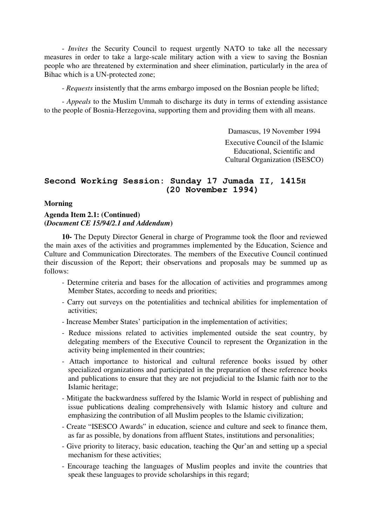- *Invites* the Security Council to request urgently NATO to take all the necessary measures in order to take a large-scale military action with a view to saving the Bosnian people who are threatened by extermination and sheer elimination, particularly in the area of Bihac which is a UN-protected zone;

- *Requests* insistently that the arms embargo imposed on the Bosnian people be lifted;

- *Appeals* to the Muslim Ummah to discharge its duty in terms of extending assistance to the people of Bosnia-Herzegovina, supporting them and providing them with all means.

> Damascus, 19 November 1994 Executive Council of the Islamic Educational, Scientific and Cultural Organization (ISESCO)

# **Second Working Session: Sunday 17 Jumada II, 1415H (20 November 1994)**

#### **Morning**

## **Agenda Item 2.1: (Continued) (***Document CE 15/94/2.1 and Addendum***)**

**10-** The Deputy Director General in charge of Programme took the floor and reviewed the main axes of the activities and programmes implemented by the Education, Science and Culture and Communication Directorates. The members of the Executive Council continued their discussion of the Report; their observations and proposals may be summed up as follows:

- Determine criteria and bases for the allocation of activities and programmes among Member States, according to needs and priorities;
- Carry out surveys on the potentialities and technical abilities for implementation of activities;
- Increase Member States' participation in the implementation of activities;
- Reduce missions related to activities implemented outside the seat country, by delegating members of the Executive Council to represent the Organization in the activity being implemented in their countries;
- Attach importance to historical and cultural reference books issued by other specialized organizations and participated in the preparation of these reference books and publications to ensure that they are not prejudicial to the Islamic faith nor to the Islamic heritage;
- Mitigate the backwardness suffered by the Islamic World in respect of publishing and issue publications dealing comprehensively with Islamic history and culture and emphasizing the contribution of all Muslim peoples to the Islamic civilization;
- Create "ISESCO Awards" in education, science and culture and seek to finance them, as far as possible, by donations from affluent States, institutions and personalities;
- Give priority to literacy, basic education, teaching the Qur'an and setting up a special mechanism for these activities;
- Encourage teaching the languages of Muslim peoples and invite the countries that speak these languages to provide scholarships in this regard;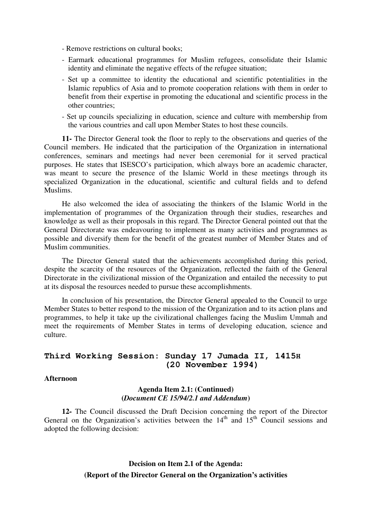- Remove restrictions on cultural books;
- Earmark educational programmes for Muslim refugees, consolidate their Islamic identity and eliminate the negative effects of the refugee situation;
- Set up a committee to identity the educational and scientific potentialities in the Islamic republics of Asia and to promote cooperation relations with them in order to benefit from their expertise in promoting the educational and scientific process in the other countries;
- Set up councils specializing in education, science and culture with membership from the various countries and call upon Member States to host these councils.

**11-** The Director General took the floor to reply to the observations and queries of the Council members. He indicated that the participation of the Organization in international conferences, seminars and meetings had never been ceremonial for it served practical purposes. He states that ISESCO's participation, which always bore an academic character, was meant to secure the presence of the Islamic World in these meetings through its specialized Organization in the educational, scientific and cultural fields and to defend Muslims.

He also welcomed the idea of associating the thinkers of the Islamic World in the implementation of programmes of the Organization through their studies, researches and knowledge as well as their proposals in this regard. The Director General pointed out that the General Directorate was endeavouring to implement as many activities and programmes as possible and diversify them for the benefit of the greatest number of Member States and of Muslim communities.

The Director General stated that the achievements accomplished during this period, despite the scarcity of the resources of the Organization, reflected the faith of the General Directorate in the civilizational mission of the Organization and entailed the necessity to put at its disposal the resources needed to pursue these accomplishments.

In conclusion of his presentation, the Director General appealed to the Council to urge Member States to better respond to the mission of the Organization and to its action plans and programmes, to help it take up the civilizational challenges facing the Muslim Ummah and meet the requirements of Member States in terms of developing education, science and culture.

## **Third Working Session: Sunday 17 Jumada II, 1415H (20 November 1994)**

#### **Afternoon**

### **Agenda Item 2.1: (Continued) (***Document CE 15/94/2.1 and Addendum***)**

**12-** The Council discussed the Draft Decision concerning the report of the Director General on the Organization's activities between the  $14<sup>th</sup>$  and  $15<sup>th</sup>$  Council sessions and adopted the following decision:

# **Decision on Item 2.1 of the Agenda: (Report of the Director General on the Organization's activities**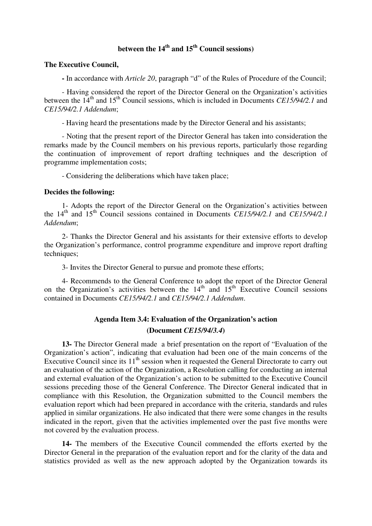# **between the 14th and 15th Council sessions)**

#### **The Executive Council,**

**-** In accordance with *Article 20*, paragraph "d" of the Rules of Procedure of the Council;

- Having considered the report of the Director General on the Organization's activities between the 14<sup>th</sup> and 15<sup>th</sup> Council sessions, which is included in Documents *CE15/94/2.1* and *CE15/94/2.1 Addendum*;

- Having heard the presentations made by the Director General and his assistants;

- Noting that the present report of the Director General has taken into consideration the remarks made by the Council members on his previous reports, particularly those regarding the continuation of improvement of report drafting techniques and the description of programme implementation costs;

- Considering the deliberations which have taken place;

#### **Decides the following:**

1- Adopts the report of the Director General on the Organization's activities between the 14<sup>th</sup> and 15<sup>th</sup> Council sessions contained in Documents *CE15/94/2.1* and *CE15/94/2.1 Addendum*;

2- Thanks the Director General and his assistants for their extensive efforts to develop the Organization's performance, control programme expenditure and improve report drafting techniques;

3- Invites the Director General to pursue and promote these efforts;

4- Recommends to the General Conference to adopt the report of the Director General on the Organization's activities between the  $14<sup>th</sup>$  and  $15<sup>th</sup>$  Executive Council sessions contained in Documents *CE15/94/2.1* and *CE15/94/2.1 Addendum*.

## **Agenda Item 3.4: Evaluation of the Organization's action (Document** *CE15/94/3.4***)**

**13-** The Director General made a brief presentation on the report of "Evaluation of the Organization's action", indicating that evaluation had been one of the main concerns of the Executive Council since its  $11<sup>th</sup>$  session when it requested the General Directorate to carry out an evaluation of the action of the Organization, a Resolution calling for conducting an internal and external evaluation of the Organization's action to be submitted to the Executive Council sessions preceding those of the General Conference. The Director General indicated that in compliance with this Resolution, the Organization submitted to the Council members the evaluation report which had been prepared in accordance with the criteria, standards and rules applied in similar organizations. He also indicated that there were some changes in the results indicated in the report, given that the activities implemented over the past five months were not covered by the evaluation process.

**14-** The members of the Executive Council commended the efforts exerted by the Director General in the preparation of the evaluation report and for the clarity of the data and statistics provided as well as the new approach adopted by the Organization towards its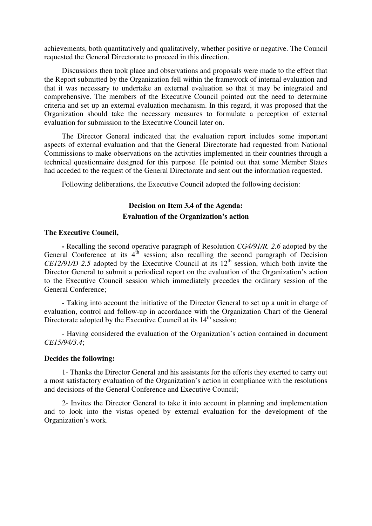achievements, both quantitatively and qualitatively, whether positive or negative. The Council requested the General Directorate to proceed in this direction.

Discussions then took place and observations and proposals were made to the effect that the Report submitted by the Organization fell within the framework of internal evaluation and that it was necessary to undertake an external evaluation so that it may be integrated and comprehensive. The members of the Executive Council pointed out the need to determine criteria and set up an external evaluation mechanism. In this regard, it was proposed that the Organization should take the necessary measures to formulate a perception of external evaluation for submission to the Executive Council later on.

The Director General indicated that the evaluation report includes some important aspects of external evaluation and that the General Directorate had requested from National Commissions to make observations on the activities implemented in their countries through a technical questionnaire designed for this purpose. He pointed out that some Member States had acceded to the request of the General Directorate and sent out the information requested.

Following deliberations, the Executive Council adopted the following decision:

## **Decision on Item 3.4 of the Agenda: Evaluation of the Organization's action**

#### **The Executive Council,**

**-** Recalling the second operative paragraph of Resolution *CG4/91/R. 2.6* adopted by the General Conference at its  $4<sup>th</sup>$  session; also recalling the second paragraph of Decision *CE12/91/D 2.5* adopted by the Executive Council at its  $12<sup>th</sup>$  session, which both invite the Director General to submit a periodical report on the evaluation of the Organization's action to the Executive Council session which immediately precedes the ordinary session of the General Conference;

- Taking into account the initiative of the Director General to set up a unit in charge of evaluation, control and follow-up in accordance with the Organization Chart of the General Directorate adopted by the Executive Council at its 14<sup>th</sup> session;

- Having considered the evaluation of the Organization's action contained in document *CE15/94/3.4*;

#### **Decides the following:**

1- Thanks the Director General and his assistants for the efforts they exerted to carry out a most satisfactory evaluation of the Organization's action in compliance with the resolutions and decisions of the General Conference and Executive Council;

2- Invites the Director General to take it into account in planning and implementation and to look into the vistas opened by external evaluation for the development of the Organization's work.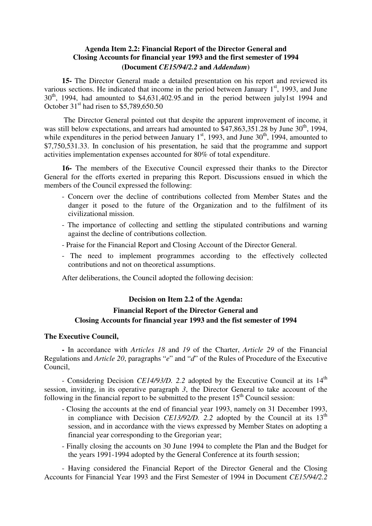## **Agenda Item 2.2: Financial Report of the Director General and Closing Accounts for financial year 1993 and the first semester of 1994 (Document** *CE15/94/2.2* **and** *Addendum***)**

**15-** The Director General made a detailed presentation on his report and reviewed its various sections. He indicated that income in the period between January  $1<sup>st</sup>$ , 1993, and June  $30<sup>th</sup>$ , 1994, had amounted to \$4,631,402.95.and in the period between july1st 1994 and October  $31<sup>st</sup>$  had risen to \$5,789,650,50

 The Director General pointed out that despite the apparent improvement of income, it was still below expectations, and arrears had amounted to  $$47,863,351.28$  by June 30<sup>th</sup>, 1994, while expenditures in the period between January  $1<sup>st</sup>$ , 1993, and June 30<sup>th</sup>, 1994, amounted to \$7,750,531.33. In conclusion of his presentation, he said that the programme and support activities implementation expenses accounted for 80% of total expenditure.

**16-** The members of the Executive Council expressed their thanks to the Director General for the efforts exerted in preparing this Report. Discussions ensued in which the members of the Council expressed the following:

- Concern over the decline of contributions collected from Member States and the danger it posed to the future of the Organization and to the fulfilment of its civilizational mission.
- The importance of collecting and settling the stipulated contributions and warning against the decline of contributions collection.
- Praise for the Financial Report and Closing Account of the Director General.
- The need to implement programmes according to the effectively collected contributions and not on theoretical assumptions.

After deliberations, the Council adopted the following decision:

#### **Decision on Item 2.2 of the Agenda:**

# **Financial Report of the Director General and Closing Accounts for financial year 1993 and the fist semester of 1994**

#### **The Executive Council,**

**-** In accordance with *Articles 18* and *19* of the Charter, *Article 29* of the Financial Regulations and *Article 20*, paragraphs "*e*" and "*d*" of the Rules of Procedure of the Executive Council,

- Considering Decision *CE14/93/D.* 2.2 adopted by the Executive Council at its 14<sup>th</sup> session, inviting, in its operative paragraph *3*, the Director General to take account of the following in the financial report to be submitted to the present  $15<sup>th</sup>$  Council session:

- Closing the accounts at the end of financial year 1993, namely on 31 December 1993, in compliance with Decision *CE13/92/D.* 2.2 adopted by the Council at its  $13<sup>th</sup>$ session, and in accordance with the views expressed by Member States on adopting a financial year corresponding to the Gregorian year;
- Finally closing the accounts on 30 June 1994 to complete the Plan and the Budget for the years 1991-1994 adopted by the General Conference at its fourth session;

- Having considered the Financial Report of the Director General and the Closing Accounts for Financial Year 1993 and the First Semester of 1994 in Document *CE15/94/2.2*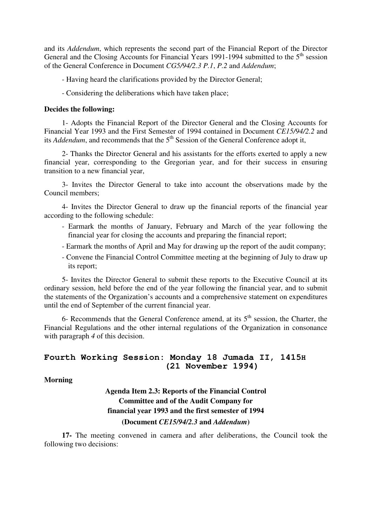and its *Addendum*, which represents the second part of the Financial Report of the Director General and the Closing Accounts for Financial Years 1991-1994 submitted to the  $5<sup>th</sup>$  session of the General Conference in Document *CG5/94/2.3 P.1*, *P.2* and *Addendum*;

- Having heard the clarifications provided by the Director General;

- Considering the deliberations which have taken place;

#### **Decides the following:**

1- Adopts the Financial Report of the Director General and the Closing Accounts for Financial Year 1993 and the First Semester of 1994 contained in Document *CE15/94/2.2* and its *Addendum*, and recommends that the  $5<sup>th</sup>$  Session of the General Conference adopt it,

2- Thanks the Director General and his assistants for the efforts exerted to apply a new financial year, corresponding to the Gregorian year, and for their success in ensuring transition to a new financial year,

3- Invites the Director General to take into account the observations made by the Council members;

4- Invites the Director General to draw up the financial reports of the financial year according to the following schedule:

- Earmark the months of January, February and March of the year following the financial year for closing the accounts and preparing the financial report;
- Earmark the months of April and May for drawing up the report of the audit company;
- Convene the Financial Control Committee meeting at the beginning of July to draw up its report;

5- Invites the Director General to submit these reports to the Executive Council at its ordinary session, held before the end of the year following the financial year, and to submit the statements of the Organization's accounts and a comprehensive statement on expenditures until the end of September of the current financial year.

6- Recommends that the General Conference amend, at its  $5<sup>th</sup>$  session, the Charter, the Financial Regulations and the other internal regulations of the Organization in consonance with paragraph *4* of this decision.

## **Fourth Working Session: Monday 18 Jumada II, 1415H (21 November 1994)**

#### **Morning**

# **Agenda Item 2.3: Reports of the Financial Control Committee and of the Audit Company for financial year 1993 and the first semester of 1994 (Document** *CE15/94/2.3* **and** *Addendum***)**

**17-** The meeting convened in camera and after deliberations, the Council took the following two decisions: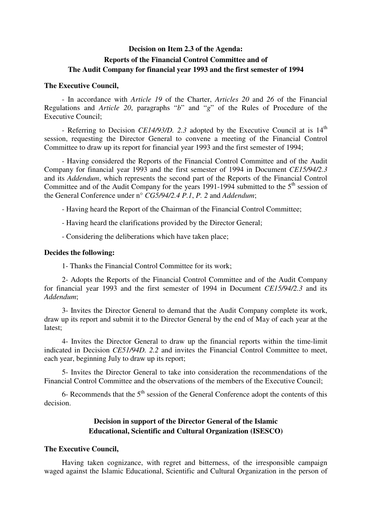# **Decision on Item 2.3 of the Agenda: Reports of the Financial Control Committee and of The Audit Company for financial year 1993 and the first semester of 1994**

#### **The Executive Council,**

- In accordance with *Article 19* of the Charter, *Articles 20* and *26* of the Financial Regulations and *Article 20*, paragraphs "*b*" and "*g*" of the Rules of Procedure of the Executive Council;

- Referring to Decision *CE14/93/D.* 2.3 adopted by the Executive Council at is 14<sup>th</sup> session, requesting the Director General to convene a meeting of the Financial Control Committee to draw up its report for financial year 1993 and the first semester of 1994;

- Having considered the Reports of the Financial Control Committee and of the Audit Company for financial year 1993 and the first semester of 1994 in Document *CE15/94/2.3* and its *Addendum*, which represents the second part of the Reports of the Financial Control Committee and of the Audit Company for the years 1991-1994 submitted to the  $5<sup>th</sup>$  session of the General Conference under n° *CG5/94/2.4 P.1*, *P. 2* and *Addendum*;

- Having heard the Report of the Chairman of the Financial Control Committee;
- Having heard the clarifications provided by the Director General;
- Considering the deliberations which have taken place;

#### **Decides the following:**

1- Thanks the Financial Control Committee for its work;

2- Adopts the Reports of the Financial Control Committee and of the Audit Company for financial year 1993 and the first semester of 1994 in Document *CE15/94/2.3* and its *Addendum*;

3- Invites the Director General to demand that the Audit Company complete its work, draw up its report and submit it to the Director General by the end of May of each year at the latest;

4- Invites the Director General to draw up the financial reports within the time-limit indicated in Decision *CE51/94D. 2.2* and invites the Financial Control Committee to meet, each year, beginning July to draw up its report;

5- Invites the Director General to take into consideration the recommendations of the Financial Control Committee and the observations of the members of the Executive Council;

6- Recommends that the  $5<sup>th</sup>$  session of the General Conference adopt the contents of this decision.

## **Decision in support of the Director General of the Islamic Educational, Scientific and Cultural Organization (ISESCO)**

#### **The Executive Council,**

Having taken cognizance, with regret and bitterness, of the irresponsible campaign waged against the Islamic Educational, Scientific and Cultural Organization in the person of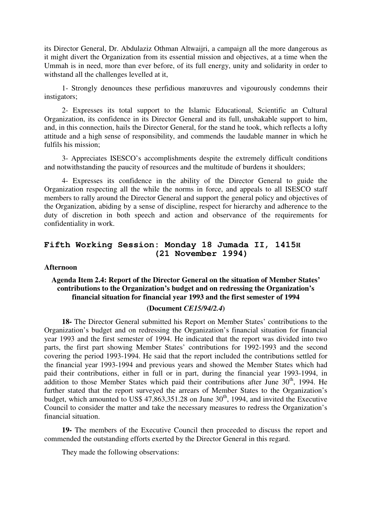its Director General, Dr. Abdulaziz Othman Altwaijri, a campaign all the more dangerous as it might divert the Organization from its essential mission and objectives, at a time when the Ummah is in need, more than ever before, of its full energy, unity and solidarity in order to withstand all the challenges levelled at it,

1- Strongly denounces these perfidious manœuvres and vigourously condemns their instigators;

2- Expresses its total support to the Islamic Educational, Scientific an Cultural Organization, its confidence in its Director General and its full, unshakable support to him, and, in this connection, hails the Director General, for the stand he took, which reflects a lofty attitude and a high sense of responsibility, and commends the laudable manner in which he fulfils his mission;

3- Appreciates ISESCO's accomplishments despite the extremely difficult conditions and notwithstanding the paucity of resources and the multitude of burdens it shoulders;

4- Expresses its confidence in the ability of the Director General to guide the Organization respecting all the while the norms in force, and appeals to all ISESCO staff members to rally around the Director General and support the general policy and objectives of the Organization, abiding by a sense of discipline, respect for hierarchy and adherence to the duty of discretion in both speech and action and observance of the requirements for confidentiality in work.

## **Fifth Working Session: Monday 18 Jumada II, 1415H (21 November 1994)**

#### **Afternoon**

## **Agenda Item 2.4: Report of the Director General on the situation of Member States' contributions to the Organization's budget and on redressing the Organization's financial situation for financial year 1993 and the first semester of 1994 (Document** *CE15/94/2.4***)**

**18-** The Director General submitted his Report on Member States' contributions to the Organization's budget and on redressing the Organization's financial situation for financial year 1993 and the first semester of 1994. He indicated that the report was divided into two parts, the first part showing Member States' contributions for 1992-1993 and the second covering the period 1993-1994. He said that the report included the contributions settled for the financial year 1993-1994 and previous years and showed the Member States which had paid their contributions, either in full or in part, during the financial year 1993-1994, in addition to those Member States which paid their contributions after June 30<sup>th</sup>, 1994. He further stated that the report surveyed the arrears of Member States to the Organization's budget, which amounted to US\$ 47,863,351.28 on June  $30<sup>th</sup>$ , 1994, and invited the Executive Council to consider the matter and take the necessary measures to redress the Organization's financial situation.

**19-** The members of the Executive Council then proceeded to discuss the report and commended the outstanding efforts exerted by the Director General in this regard.

They made the following observations: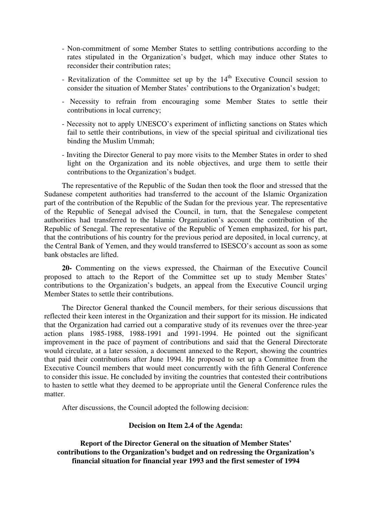- Non-commitment of some Member States to settling contributions according to the rates stipulated in the Organization's budget, which may induce other States to reconsider their contribution rates;
- Revitalization of the Committee set up by the  $14<sup>th</sup>$  Executive Council session to consider the situation of Member States' contributions to the Organization's budget;
- Necessity to refrain from encouraging some Member States to settle their contributions in local currency;
- Necessity not to apply UNESCO's experiment of inflicting sanctions on States which fail to settle their contributions, in view of the special spiritual and civilizational ties binding the Muslim Ummah;
- Inviting the Director General to pay more visits to the Member States in order to shed light on the Organization and its noble objectives, and urge them to settle their contributions to the Organization's budget.

The representative of the Republic of the Sudan then took the floor and stressed that the Sudanese competent authorities had transferred to the account of the Islamic Organization part of the contribution of the Republic of the Sudan for the previous year. The representative of the Republic of Senegal advised the Council, in turn, that the Senegalese competent authorities had transferred to the Islamic Organization's account the contribution of the Republic of Senegal. The representative of the Republic of Yemen emphasized, for his part, that the contributions of his country for the previous period are deposited, in local currency, at the Central Bank of Yemen, and they would transferred to ISESCO's account as soon as some bank obstacles are lifted.

**20-** Commenting on the views expressed, the Chairman of the Executive Council proposed to attach to the Report of the Committee set up to study Member States' contributions to the Organization's budgets, an appeal from the Executive Council urging Member States to settle their contributions.

The Director General thanked the Council members, for their serious discussions that reflected their keen interest in the Organization and their support for its mission. He indicated that the Organization had carried out a comparative study of its revenues over the three-year action plans 1985-1988, 1988-1991 and 1991-1994. He pointed out the significant improvement in the pace of payment of contributions and said that the General Directorate would circulate, at a later session, a document annexed to the Report, showing the countries that paid their contributions after June 1994. He proposed to set up a Committee from the Executive Council members that would meet concurrently with the fifth General Conference to consider this issue. He concluded by inviting the countries that contested their contributions to hasten to settle what they deemed to be appropriate until the General Conference rules the matter.

After discussions, the Council adopted the following decision:

#### **Decision on Item 2.4 of the Agenda:**

**Report of the Director General on the situation of Member States' contributions to the Organization's budget and on redressing the Organization's financial situation for financial year 1993 and the first semester of 1994**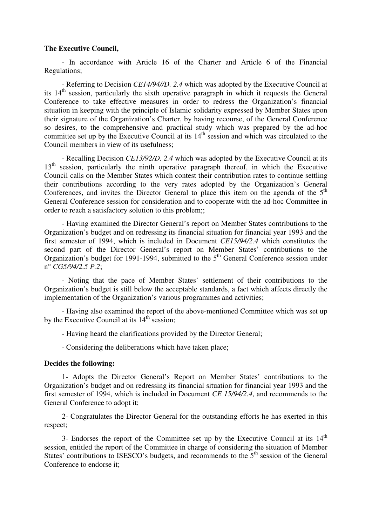#### **The Executive Council,**

- In accordance with Article 16 of the Charter and Article 6 of the Financial Regulations;

- Referring to Decision *CE14/94//D. 2.4* which was adopted by the Executive Council at its 14th session, particularly the sixth operative paragraph in which it requests the General Conference to take effective measures in order to redress the Organization's financial situation in keeping with the principle of Islamic solidarity expressed by Member States upon their signature of the Organization's Charter, by having recourse, of the General Conference so desires, to the comprehensive and practical study which was prepared by the ad-hoc committee set up by the Executive Council at its  $14<sup>th</sup>$  session and which was circulated to the Council members in view of its usefulness;

- Recalling Decision *CE13/92/D. 2.4* which was adopted by the Executive Council at its 13<sup>th</sup> session, particularly the ninth operative paragraph thereof, in which the Executive Council calls on the Member States which contest their contribution rates to continue settling their contributions according to the very rates adopted by the Organization's General Conferences, and invites the Director General to place this item on the agenda of the  $5<sup>th</sup>$ General Conference session for consideration and to cooperate with the ad-hoc Committee in order to reach a satisfactory solution to this problem;;

- Having examined the Director General's report on Member States contributions to the Organization's budget and on redressing its financial situation for financial year 1993 and the first semester of 1994, which is included in Document *CE15/94/2.4* which constitutes the second part of the Director General's report on Member States' contributions to the Organization's budget for 1991-1994, submitted to the  $5<sup>th</sup>$  General Conference session under n° *CG5/94/2.5 P.2*;

- Noting that the pace of Member States' settlement of their contributions to the Organization's budget is still below the acceptable standards, a fact which affects directly the implementation of the Organization's various programmes and activities;

- Having also examined the report of the above-mentioned Committee which was set up by the Executive Council at its  $14<sup>th</sup>$  session;

- Having heard the clarifications provided by the Director General;

- Considering the deliberations which have taken place;

#### **Decides the following:**

1- Adopts the Director General's Report on Member States' contributions to the Organization's budget and on redressing its financial situation for financial year 1993 and the first semester of 1994, which is included in Document *CE 15/94/2.4*, and recommends to the General Conference to adopt it;

2- Congratulates the Director General for the outstanding efforts he has exerted in this respect;

3- Endorses the report of the Committee set up by the Executive Council at its  $14<sup>th</sup>$ session, entitled the report of the Committee in charge of considering the situation of Member States' contributions to ISESCO's budgets, and recommends to the  $5<sup>th</sup>$  session of the General Conference to endorse it;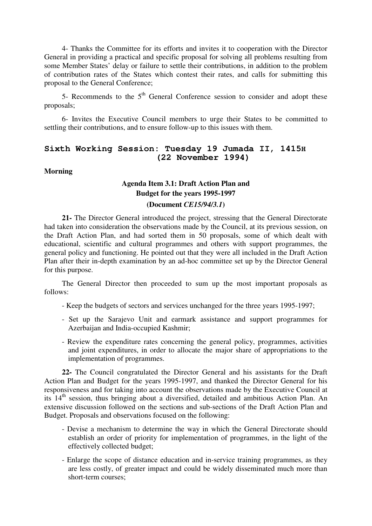4- Thanks the Committee for its efforts and invites it to cooperation with the Director General in providing a practical and specific proposal for solving all problems resulting from some Member States' delay or failure to settle their contributions, in addition to the problem of contribution rates of the States which contest their rates, and calls for submitting this proposal to the General Conference;

5- Recommends to the  $5<sup>th</sup>$  General Conference session to consider and adopt these proposals;

6- Invites the Executive Council members to urge their States to be committed to settling their contributions, and to ensure follow-up to this issues with them.

## **Sixth Working Session: Tuesday 19 Jumada II, 1415H (22 November 1994)**

#### **Morning**

# **Agenda Item 3.1: Draft Action Plan and Budget for the years 1995-1997**

#### **(Document** *CE15/94/3.1***)**

**21-** The Director General introduced the project, stressing that the General Directorate had taken into consideration the observations made by the Council, at its previous session, on the Draft Action Plan, and had sorted them in 50 proposals, some of which dealt with educational, scientific and cultural programmes and others with support programmes, the general policy and functioning. He pointed out that they were all included in the Draft Action Plan after their in-depth examination by an ad-hoc committee set up by the Director General for this purpose.

The General Director then proceeded to sum up the most important proposals as follows:

- Keep the budgets of sectors and services unchanged for the three years 1995-1997;
- Set up the Sarajevo Unit and earmark assistance and support programmes for Azerbaijan and India-occupied Kashmir;
- Review the expenditure rates concerning the general policy, programmes, activities and joint expenditures, in order to allocate the major share of appropriations to the implementation of programmes.

**22-** The Council congratulated the Director General and his assistants for the Draft Action Plan and Budget for the years 1995-1997, and thanked the Director General for his responsiveness and for taking into account the observations made by the Executive Council at its 14th session, thus bringing about a diversified, detailed and ambitious Action Plan. An extensive discussion followed on the sections and sub-sections of the Draft Action Plan and Budget. Proposals and observations focused on the following:

- Devise a mechanism to determine the way in which the General Directorate should establish an order of priority for implementation of programmes, in the light of the effectively collected budget;
- Enlarge the scope of distance education and in-service training programmes, as they are less costly, of greater impact and could be widely disseminated much more than short-term courses;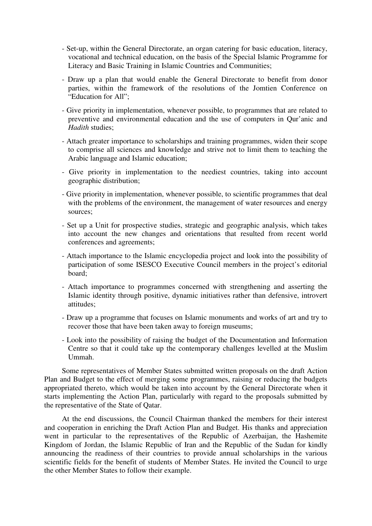- Set-up, within the General Directorate, an organ catering for basic education, literacy, vocational and technical education, on the basis of the Special Islamic Programme for Literacy and Basic Training in Islamic Countries and Communities;
- Draw up a plan that would enable the General Directorate to benefit from donor parties, within the framework of the resolutions of the Jomtien Conference on "Education for All";
- Give priority in implementation, whenever possible, to programmes that are related to preventive and environmental education and the use of computers in Qur'anic and *Hadith* studies;
- Attach greater importance to scholarships and training programmes, widen their scope to comprise all sciences and knowledge and strive not to limit them to teaching the Arabic language and Islamic education;
- Give priority in implementation to the neediest countries, taking into account geographic distribution;
- Give priority in implementation, whenever possible, to scientific programmes that deal with the problems of the environment, the management of water resources and energy sources;
- Set up a Unit for prospective studies, strategic and geographic analysis, which takes into account the new changes and orientations that resulted from recent world conferences and agreements;
- Attach importance to the Islamic encyclopedia project and look into the possibility of participation of some ISESCO Executive Council members in the project's editorial board;
- Attach importance to programmes concerned with strengthening and asserting the Islamic identity through positive, dynamic initiatives rather than defensive, introvert attitudes;
- Draw up a programme that focuses on Islamic monuments and works of art and try to recover those that have been taken away to foreign museums;
- Look into the possibility of raising the budget of the Documentation and Information Centre so that it could take up the contemporary challenges levelled at the Muslim Ummah.

Some representatives of Member States submitted written proposals on the draft Action Plan and Budget to the effect of merging some programmes, raising or reducing the budgets appropriated thereto, which would be taken into account by the General Directorate when it starts implementing the Action Plan, particularly with regard to the proposals submitted by the representative of the State of Qatar.

At the end discussions, the Council Chairman thanked the members for their interest and cooperation in enriching the Draft Action Plan and Budget. His thanks and appreciation went in particular to the representatives of the Republic of Azerbaijan, the Hashemite Kingdom of Jordan, the Islamic Republic of Iran and the Republic of the Sudan for kindly announcing the readiness of their countries to provide annual scholarships in the various scientific fields for the benefit of students of Member States. He invited the Council to urge the other Member States to follow their example.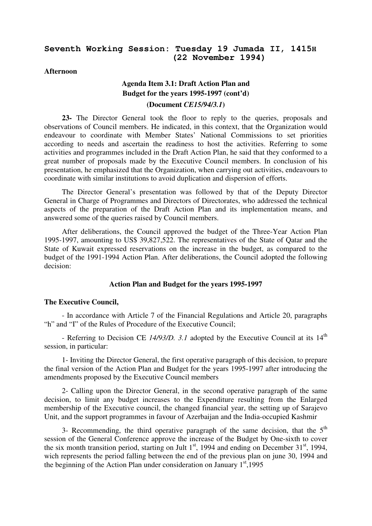## **Seventh Working Session: Tuesday 19 Jumada II, 1415H (22 November 1994)**

#### **Afternoon**

# **Agenda Item 3.1: Draft Action Plan and Budget for the years 1995-1997 (cont'd) (Document** *CE15/94/3.1***)**

**23-** The Director General took the floor to reply to the queries, proposals and observations of Council members. He indicated, in this context, that the Organization would endeavour to coordinate with Member States' National Commissions to set priorities according to needs and ascertain the readiness to host the activities. Referring to some activities and programmes included in the Draft Action Plan, he said that they conformed to a great number of proposals made by the Executive Council members. In conclusion of his presentation, he emphasized that the Organization, when carrying out activities, endeavours to coordinate with similar institutions to avoid duplication and dispersion of efforts.

The Director General's presentation was followed by that of the Deputy Director General in Charge of Programmes and Directors of Directorates, who addressed the technical aspects of the preparation of the Draft Action Plan and its implementation means, and answered some of the queries raised by Council members.

After deliberations, the Council approved the budget of the Three-Year Action Plan 1995-1997, amounting to US\$ 39,827,522. The representatives of the State of Qatar and the State of Kuwait expressed reservations on the increase in the budget, as compared to the budget of the 1991-1994 Action Plan. After deliberations, the Council adopted the following decision:

#### **Action Plan and Budget for the years 1995-1997**

#### **The Executive Council,**

- In accordance with Article 7 of the Financial Regulations and Article 20, paragraphs "h" and "I" of the Rules of Procedure of the Executive Council;

- Referring to Decision CE 14/93/D. 3.1 adopted by the Executive Council at its 14<sup>th</sup> session, in particular:

1- Inviting the Director General, the first operative paragraph of this decision, to prepare the final version of the Action Plan and Budget for the years 1995-1997 after introducing the amendments proposed by the Executive Council members

2- Calling upon the Director General, in the second operative paragraph of the same decision, to limit any budget increases to the Expenditure resulting from the Enlarged membership of the Executive council, the changed financial year, the setting up of Sarajevo Unit, and the support programmes in favour of Azerbaijan and the India-occupied Kashmir

3- Recommending, the third operative paragraph of the same decision, that the  $5<sup>th</sup>$ session of the General Conference approve the increase of the Budget by One-sixth to cover the six month transition period, starting on Jult  $1<sup>st</sup>$ , 1994 and ending on December 31 $<sup>st</sup>$ , 1994,</sup> wich represents the period falling between the end of the previous plan on june 30, 1994 and the beginning of the Action Plan under consideration on January  $1<sup>st</sup>$ ,1995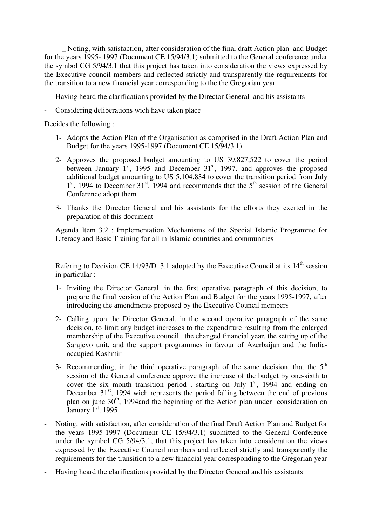\_ Noting, with satisfaction, after consideration of the final draft Action plan and Budget for the years 1995- 1997 (Document CE 15/94/3.1) submitted to the General conference under the symbol CG 5/94/3.1 that this project has taken into consideration the views expressed by the Executive council members and reflected strictly and transparently the requirements for the transition to a new financial year corresponding to the the Gregorian year

- Having heard the clarifications provided by the Director General and his assistants
- Considering deliberations wich have taken place

Decides the following :

- 1- Adopts the Action Plan of the Organisation as comprised in the Draft Action Plan and Budget for the years 1995-1997 (Document CE 15/94/3.1)
- 2- Approves the proposed budget amounting to US 39,827,522 to cover the period between January 1<sup>st</sup>, 1995 and December 31<sup>st</sup>, 1997, and approves the proposed additional budget amounting to US 5,104,834 to cover the transition period from July 1<sup>st</sup>, 1994 to December 31<sup>st</sup>, 1994 and recommends that the 5<sup>th</sup> session of the General Conference adopt them
- 3- Thanks the Director General and his assistants for the efforts they exerted in the preparation of this document

Agenda Item 3.2 : Implementation Mechanisms of the Special Islamic Programme for Literacy and Basic Training for all in Islamic countries and communities

Refering to Decision CE 14/93/D. 3.1 adopted by the Executive Council at its  $14<sup>th</sup>$  session in particular :

- 1- Inviting the Director General, in the first operative paragraph of this decision, to prepare the final version of the Action Plan and Budget for the years 1995-1997, after introducing the amendments proposed by the Executive Council members
- 2- Calling upon the Director General, in the second operative paragraph of the same decision, to limit any budget increases to the expenditure resulting from the enlarged membership of the Executive council , the changed financial year, the setting up of the Sarajevo unit, and the support programmes in favour of Azerbaijan and the Indiaoccupied Kashmir
- 3- Recommending, in the third operative paragraph of the same decision, that the  $5<sup>th</sup>$ session of the General conference approve the increase of the budget by one-sixth to cover the six month transition period, starting on July  $1<sup>st</sup>$ , 1994 and ending on December  $31<sup>st</sup>$ , 1994 wich represents the period falling between the end of previous plan on june  $30<sup>th</sup>$ , 1994and the beginning of the Action plan under consideration on January  $1<sup>st</sup>$ , 1995
- Noting, with satisfaction, after consideration of the final Draft Action Plan and Budget for the years 1995-1997 (Document CE 15/94/3.1) submitted to the General Conference under the symbol CG 5/94/3.1, that this project has taken into consideration the views expressed by the Executive Council members and reflected strictly and transparently the requirements for the transition to a new financial year corresponding to the Gregorian year
- Having heard the clarifications provided by the Director General and his assistants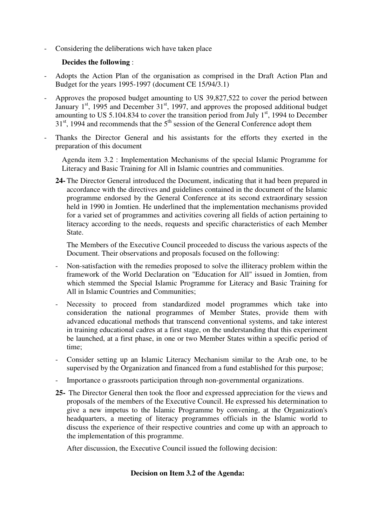Considering the deliberations wich have taken place

## **Decides the following** :

- Adopts the Action Plan of the organisation as comprised in the Draft Action Plan and Budget for the years 1995-1997 (document CE 15/94/3.1)
- Approves the proposed budget amounting to US 39,827,522 to cover the period between January  $1<sup>st</sup>$ , 1995 and December  $31<sup>st</sup>$ , 1997, and approves the proposed additional budget amounting to US 5.104.834 to cover the transition period from July  $1<sup>st</sup>$ , 1994 to December  $31<sup>st</sup>$ , 1994 and recommends that the  $5<sup>th</sup>$  session of the General Conference adopt them
- Thanks the Director General and his assistants for the efforts they exerted in the preparation of this document
	- Agenda item 3.2 : Implementation Mechanisms of the special Islamic Programme for Literacy and Basic Training for All in Islamic countries and communities.
	- **24-** The Director General introduced the Document, indicating that it had been prepared in accordance with the directives and guidelines contained in the document of the Islamic programme endorsed by the General Conference at its second extraordinary session held in 1990 in Jomtien. He underlined that the implementation mechanisms provided for a varied set of programmes and activities covering all fields of action pertaining to literacy according to the needs, requests and specific characteristics of each Member State.

The Members of the Executive Council proceeded to discuss the various aspects of the Document. Their observations and proposals focused on the following:

- Non-satisfaction with the remedies proposed to solve the illiteracy problem within the framework of the World Declaration on "Education for All" issued in Jomtien, from which stemmed the Special Islamic Programme for Literacy and Basic Training for All in Islamic Countries and Communities;
- Necessity to proceed from standardized model programmes which take into consideration the national programmes of Member States, provide them with advanced educational methods that transcend conventional systems, and take interest in training educational cadres at a first stage, on the understanding that this experiment be launched, at a first phase, in one or two Member States within a specific period of time;
- Consider setting up an Islamic Literacy Mechanism similar to the Arab one, to be supervised by the Organization and financed from a fund established for this purpose;
- Importance o grassroots participation through non-governmental organizations.
- **25-** The Director General then took the floor and expressed appreciation for the views and proposals of the members of the Executive Council. He expressed his determination to give a new impetus to the Islamic Programme by convening, at the Organization's headquarters, a meeting of literacy programmes officials in the Islamic world to discuss the experience of their respective countries and come up with an approach to the implementation of this programme.

After discussion, the Executive Council issued the following decision:

#### **Decision on Item 3.2 of the Agenda:**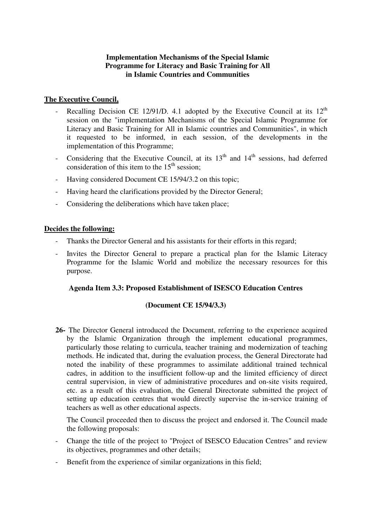## **Implementation Mechanisms of the Special Islamic Programme for Literacy and Basic Training for All in Islamic Countries and Communities**

## **The Executive Council,**

- Recalling Decision CE 12/91/D. 4.1 adopted by the Executive Council at its  $12<sup>th</sup>$ session on the "implementation Mechanisms of the Special Islamic Programme for Literacy and Basic Training for All in Islamic countries and Communities", in which it requested to be informed, in each session, of the developments in the implementation of this Programme;
- Considering that the Executive Council, at its  $13<sup>th</sup>$  and  $14<sup>th</sup>$  sessions, had deferred consideration of this item to the  $15<sup>th</sup>$  session:
- Having considered Document CE 15/94/3.2 on this topic;
- Having heard the clarifications provided by the Director General;
- Considering the deliberations which have taken place;

### **Decides the following:**

- Thanks the Director General and his assistants for their efforts in this regard;
- Invites the Director General to prepare a practical plan for the Islamic Literacy Programme for the Islamic World and mobilize the necessary resources for this purpose.

#### **Agenda Item 3.3: Proposed Establishment of ISESCO Education Centres**

#### **(Document CE 15/94/3.3)**

**26-** The Director General introduced the Document, referring to the experience acquired by the Islamic Organization through the implement educational programmes, particularly those relating to curricula, teacher training and modernization of teaching methods. He indicated that, during the evaluation process, the General Directorate had noted the inability of these programmes to assimilate additional trained technical cadres, in addition to the insufficient follow-up and the limited efficiency of direct central supervision, in view of administrative procedures and on-site visits required, etc. as a result of this evaluation, the General Directorate submitted the project of setting up education centres that would directly supervise the in-service training of teachers as well as other educational aspects.

The Council proceeded then to discuss the project and endorsed it. The Council made the following proposals:

- Change the title of the project to "Project of ISESCO Education Centres" and review its objectives, programmes and other details;
- Benefit from the experience of similar organizations in this field: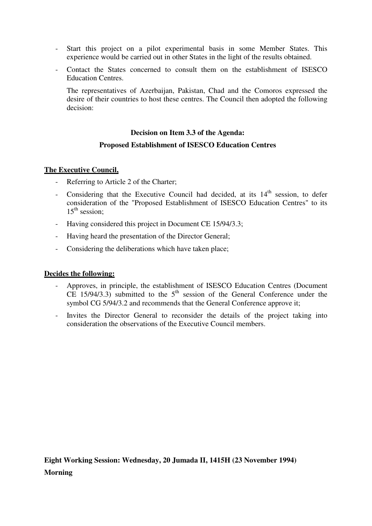- Start this project on a pilot experimental basis in some Member States. This experience would be carried out in other States in the light of the results obtained.
- Contact the States concerned to consult them on the establishment of ISESCO Education Centres.

The representatives of Azerbaijan, Pakistan, Chad and the Comoros expressed the desire of their countries to host these centres. The Council then adopted the following decision:

# **Decision on Item 3.3 of the Agenda:**

## **Proposed Establishment of ISESCO Education Centres**

## **The Executive Council,**

- Referring to Article 2 of the Charter;
- Considering that the Executive Council had decided, at its  $14<sup>th</sup>$  session, to defer consideration of the "Proposed Establishment of ISESCO Education Centres" to its  $15<sup>th</sup>$  session:
- Having considered this project in Document CE 15/94/3.3;
- Having heard the presentation of the Director General;
- Considering the deliberations which have taken place;

#### **Decides the following:**

- Approves, in principle, the establishment of ISESCO Education Centres (Document CE  $15/94/3.3$ ) submitted to the  $5<sup>th</sup>$  session of the General Conference under the symbol CG 5/94/3.2 and recommends that the General Conference approve it;
- Invites the Director General to reconsider the details of the project taking into consideration the observations of the Executive Council members.

**Eight Working Session: Wednesday, 20 Jumada II, 1415H (23 November 1994) Morning**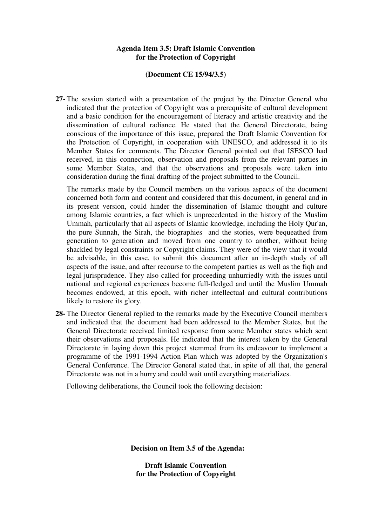## **Agenda Item 3.5: Draft Islamic Convention for the Protection of Copyright**

#### **(Document CE 15/94/3.5)**

**27-** The session started with a presentation of the project by the Director General who indicated that the protection of Copyright was a prerequisite of cultural development and a basic condition for the encouragement of literacy and artistic creativity and the dissemination of cultural radiance. He stated that the General Directorate, being conscious of the importance of this issue, prepared the Draft Islamic Convention for the Protection of Copyright, in cooperation with UNESCO, and addressed it to its Member States for comments. The Director General pointed out that ISESCO had received, in this connection, observation and proposals from the relevant parties in some Member States, and that the observations and proposals were taken into consideration during the final drafting of the project submitted to the Council.

The remarks made by the Council members on the various aspects of the document concerned both form and content and considered that this document, in general and in its present version, could hinder the dissemination of Islamic thought and culture among Islamic countries, a fact which is unprecedented in the history of the Muslim Ummah, particularly that all aspects of Islamic knowledge, including the Holy Qur'an, the pure Sunnah, the Sirah, the biographies and the stories, were bequeathed from generation to generation and moved from one country to another, without being shackled by legal constraints or Copyright claims. They were of the view that it would be advisable, in this case, to submit this document after an in-depth study of all aspects of the issue, and after recourse to the competent parties as well as the fiqh and legal jurisprudence. They also called for proceeding unhurriedly with the issues until national and regional experiences become full-fledged and until the Muslim Ummah becomes endowed, at this epoch, with richer intellectual and cultural contributions likely to restore its glory.

**28-** The Director General replied to the remarks made by the Executive Council members and indicated that the document had been addressed to the Member States, but the General Directorate received limited response from some Member states which sent their observations and proposals. He indicated that the interest taken by the General Directorate in laying down this project stemmed from its endeavour to implement a programme of the 1991-1994 Action Plan which was adopted by the Organization's General Conference. The Director General stated that, in spite of all that, the general Directorate was not in a hurry and could wait until everything materializes.

Following deliberations, the Council took the following decision:

**Decision on Item 3.5 of the Agenda:** 

**Draft Islamic Convention for the Protection of Copyright**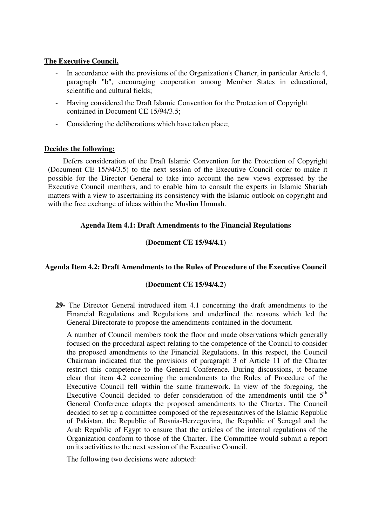## **The Executive Council,**

- In accordance with the provisions of the Organization's Charter, in particular Article 4, paragraph "b", encouraging cooperation among Member States in educational, scientific and cultural fields;
- Having considered the Draft Islamic Convention for the Protection of Copyright contained in Document CE 15/94/3.5;
- Considering the deliberations which have taken place;

## **Decides the following:**

Defers consideration of the Draft Islamic Convention for the Protection of Copyright (Document CE 15/94/3.5) to the next session of the Executive Council order to make it possible for the Director General to take into account the new views expressed by the Executive Council members, and to enable him to consult the experts in Islamic Shariah matters with a view to ascertaining its consistency with the Islamic outlook on copyright and with the free exchange of ideas within the Muslim Ummah.

## **Agenda Item 4.1: Draft Amendments to the Financial Regulations**

## **(Document CE 15/94/4.1)**

## **Agenda Item 4.2: Draft Amendments to the Rules of Procedure of the Executive Council**

#### **(Document CE 15/94/4.2)**

**29-** The Director General introduced item 4.1 concerning the draft amendments to the Financial Regulations and Regulations and underlined the reasons which led the General Directorate to propose the amendments contained in the document.

A number of Council members took the floor and made observations which generally focused on the procedural aspect relating to the competence of the Council to consider the proposed amendments to the Financial Regulations. In this respect, the Council Chairman indicated that the provisions of paragraph 3 of Article 11 of the Charter restrict this competence to the General Conference. During discussions, it became clear that item 4.2 concerning the amendments to the Rules of Procedure of the Executive Council fell within the same framework. In view of the foregoing, the Executive Council decided to defer consideration of the amendments until the  $5<sup>th</sup>$ General Conference adopts the proposed amendments to the Charter. The Council decided to set up a committee composed of the representatives of the Islamic Republic of Pakistan, the Republic of Bosnia-Herzegovina, the Republic of Senegal and the Arab Republic of Egypt to ensure that the articles of the internal regulations of the Organization conform to those of the Charter. The Committee would submit a report on its activities to the next session of the Executive Council.

The following two decisions were adopted: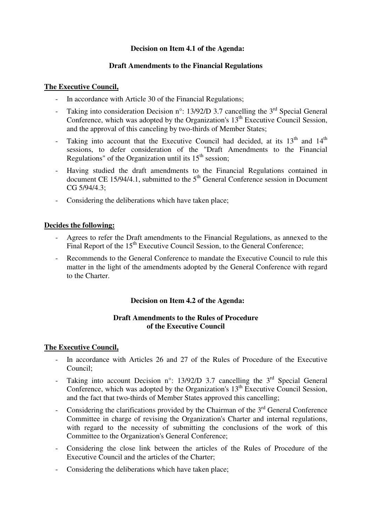## **Decision on Item 4.1 of the Agenda:**

## **Draft Amendments to the Financial Regulations**

### **The Executive Council,**

- In accordance with Article 30 of the Financial Regulations;
- Taking into consideration Decision n°: 13/92/D 3.7 cancelling the  $3<sup>rd</sup>$  Special General Conference, which was adopted by the Organization's  $13<sup>th</sup>$  Executive Council Session, and the approval of this canceling by two-thirds of Member States;
- Taking into account that the Executive Council had decided, at its  $13<sup>th</sup>$  and  $14<sup>th</sup>$ sessions, to defer consideration of the "Draft Amendments to the Financial Regulations" of the Organization until its  $15<sup>th</sup>$  session;
- Having studied the draft amendments to the Financial Regulations contained in document CE  $15/94/4.1$ , submitted to the  $5<sup>th</sup>$  General Conference session in Document CG 5/94/4.3;
- Considering the deliberations which have taken place;

## **Decides the following:**

- Agrees to refer the Draft amendments to the Financial Regulations, as annexed to the Final Report of the 15<sup>th</sup> Executive Council Session, to the General Conference;
- Recommends to the General Conference to mandate the Executive Council to rule this matter in the light of the amendments adopted by the General Conference with regard to the Charter.

## **Decision on Item 4.2 of the Agenda:**

## **Draft Amendments to the Rules of Procedure of the Executive Council**

## **The Executive Council,**

- In accordance with Articles 26 and 27 of the Rules of Procedure of the Executive Council;
- Taking into account Decision n°: 13/92/D 3.7 cancelling the 3<sup>rd</sup> Special General Conference, which was adopted by the Organization's  $13<sup>th</sup>$  Executive Council Session, and the fact that two-thirds of Member States approved this cancelling;
- Considering the clarifications provided by the Chairman of the  $3<sup>rd</sup>$  General Conference Committee in charge of revising the Organization's Charter and internal regulations, with regard to the necessity of submitting the conclusions of the work of this Committee to the Organization's General Conference;
- Considering the close link between the articles of the Rules of Procedure of the Executive Council and the articles of the Charter;
- Considering the deliberations which have taken place;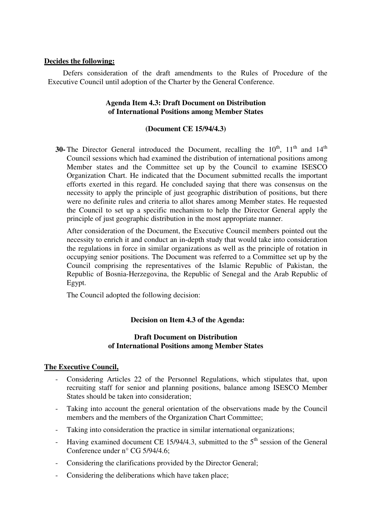Defers consideration of the draft amendments to the Rules of Procedure of the Executive Council until adoption of the Charter by the General Conference.

#### **Agenda Item 4.3: Draft Document on Distribution of International Positions among Member States**

#### **(Document CE 15/94/4.3)**

**30-** The Director General introduced the Document, recalling the  $10^{th}$ ,  $11^{th}$  and  $14^{th}$ Council sessions which had examined the distribution of international positions among Member states and the Committee set up by the Council to examine ISESCO Organization Chart. He indicated that the Document submitted recalls the important efforts exerted in this regard. He concluded saying that there was consensus on the necessity to apply the principle of just geographic distribution of positions, but there were no definite rules and criteria to allot shares among Member states. He requested the Council to set up a specific mechanism to help the Director General apply the principle of just geographic distribution in the most appropriate manner.

After consideration of the Document, the Executive Council members pointed out the necessity to enrich it and conduct an in-depth study that would take into consideration the regulations in force in similar organizations as well as the principle of rotation in occupying senior positions. The Document was referred to a Committee set up by the Council comprising the representatives of the Islamic Republic of Pakistan, the Republic of Bosnia-Herzegovina, the Republic of Senegal and the Arab Republic of Egypt.

The Council adopted the following decision:

#### **Decision on Item 4.3 of the Agenda:**

#### **Draft Document on Distribution of International Positions among Member States**

#### **The Executive Council,**

- Considering Articles 22 of the Personnel Regulations, which stipulates that, upon recruiting staff for senior and planning positions, balance among ISESCO Member States should be taken into consideration;
- Taking into account the general orientation of the observations made by the Council members and the members of the Organization Chart Committee;
- Taking into consideration the practice in similar international organizations;
- Having examined document CE 15/94/4.3, submitted to the  $5<sup>th</sup>$  session of the General Conference under n° CG 5/94/4.6;
- Considering the clarifications provided by the Director General;
- Considering the deliberations which have taken place;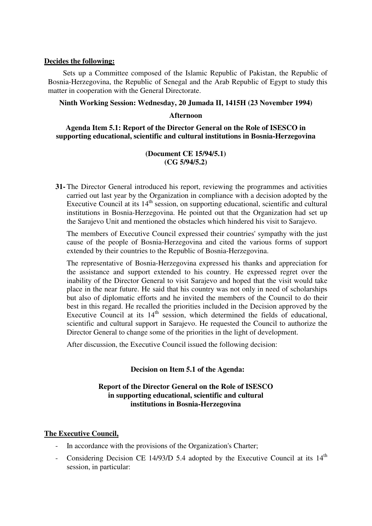Sets up a Committee composed of the Islamic Republic of Pakistan, the Republic of Bosnia-Herzegovina, the Republic of Senegal and the Arab Republic of Egypt to study this matter in cooperation with the General Directorate.

#### **Ninth Working Session: Wednesday, 20 Jumada II, 1415H (23 November 1994)**

#### **Afternoon**

#### **Agenda Item 5.1: Report of the Director General on the Role of ISESCO in supporting educational, scientific and cultural institutions in Bosnia-Herzegovina**

## **(Document CE 15/94/5.1) (CG 5/94/5.2)**

**31-** The Director General introduced his report, reviewing the programmes and activities carried out last year by the Organization in compliance with a decision adopted by the Executive Council at its  $14<sup>th</sup>$  session, on supporting educational, scientific and cultural institutions in Bosnia-Herzegovina. He pointed out that the Organization had set up the Sarajevo Unit and mentioned the obstacles which hindered his visit to Sarajevo.

The members of Executive Council expressed their countries' sympathy with the just cause of the people of Bosnia-Herzegovina and cited the various forms of support extended by their countries to the Republic of Bosnia-Herzegovina.

The representative of Bosnia-Herzegovina expressed his thanks and appreciation for the assistance and support extended to his country. He expressed regret over the inability of the Director General to visit Sarajevo and hoped that the visit would take place in the near future. He said that his country was not only in need of scholarships but also of diplomatic efforts and he invited the members of the Council to do their best in this regard. He recalled the priorities included in the Decision approved by the Executive Council at its  $14<sup>th</sup>$  session, which determined the fields of educational, scientific and cultural support in Sarajevo. He requested the Council to authorize the Director General to change some of the priorities in the light of development.

After discussion, the Executive Council issued the following decision:

#### **Decision on Item 5.1 of the Agenda:**

## **Report of the Director General on the Role of ISESCO in supporting educational, scientific and cultural institutions in Bosnia-Herzegovina**

#### **The Executive Council,**

- In accordance with the provisions of the Organization's Charter;
- Considering Decision CE 14/93/D 5.4 adopted by the Executive Council at its 14<sup>th</sup> session, in particular: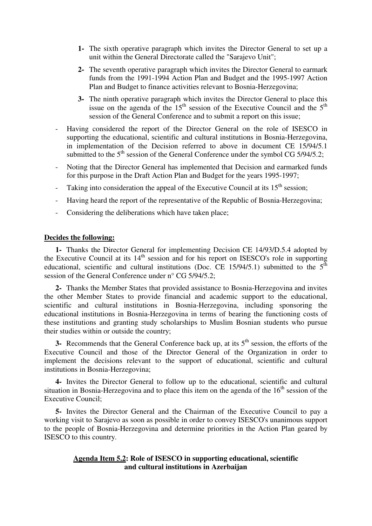- **1-** The sixth operative paragraph which invites the Director General to set up a unit within the General Directorate called the "Sarajevo Unit";
- **2-** The seventh operative paragraph which invites the Director General to earmark funds from the 1991-1994 Action Plan and Budget and the 1995-1997 Action Plan and Budget to finance activities relevant to Bosnia-Herzegovina;
- **3-** The ninth operative paragraph which invites the Director General to place this issue on the agenda of the  $15<sup>th</sup>$  session of the Executive Council and the  $5<sup>th</sup>$ session of the General Conference and to submit a report on this issue;
- Having considered the report of the Director General on the role of ISESCO in supporting the educational, scientific and cultural institutions in Bosnia-Herzegovina, in implementation of the Decision referred to above in document CE 15/94/5.1 submitted to the  $5<sup>th</sup>$  session of the General Conference under the symbol CG 5/94/5.2;
- Noting that the Director General has implemented that Decision and earmarked funds for this purpose in the Draft Action Plan and Budget for the years 1995-1997;
- Taking into consideration the appeal of the Executive Council at its  $15<sup>th</sup>$  session;
- Having heard the report of the representative of the Republic of Bosnia-Herzegovina;
- Considering the deliberations which have taken place;

**1-** Thanks the Director General for implementing Decision CE 14/93/D.5.4 adopted by the Executive Council at its  $14<sup>th</sup>$  session and for his report on ISESCO's role in supporting educational, scientific and cultural institutions (Doc. CE 15/94/5.1) submitted to the  $5<sup>th</sup>$ session of the General Conference under n° CG 5/94/5.2;

**2-** Thanks the Member States that provided assistance to Bosnia-Herzegovina and invites the other Member States to provide financial and academic support to the educational, scientific and cultural institutions in Bosnia-Herzegovina, including sponsoring the educational institutions in Bosnia-Herzegovina in terms of bearing the functioning costs of these institutions and granting study scholarships to Muslim Bosnian students who pursue their studies within or outside the country;

**3-** Recommends that the General Conference back up, at its 5<sup>th</sup> session, the efforts of the Executive Council and those of the Director General of the Organization in order to implement the decisions relevant to the support of educational, scientific and cultural institutions in Bosnia-Herzegovina;

**4-** Invites the Director General to follow up to the educational, scientific and cultural situation in Bosnia-Herzegovina and to place this item on the agenda of the  $16<sup>th</sup>$  session of the Executive Council;

**5-** Invites the Director General and the Chairman of the Executive Council to pay a working visit to Sarajevo as soon as possible in order to convey ISESCO's unanimous support to the people of Bosnia-Herzegovina and determine priorities in the Action Plan geared by ISESCO to this country.

#### **Agenda Item 5.2: Role of ISESCO in supporting educational, scientific and cultural institutions in Azerbaijan**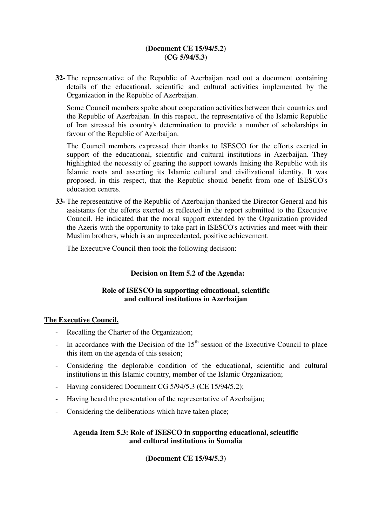## **(Document CE 15/94/5.2) (CG 5/94/5.3)**

**32-** The representative of the Republic of Azerbaijan read out a document containing details of the educational, scientific and cultural activities implemented by the Organization in the Republic of Azerbaijan.

Some Council members spoke about cooperation activities between their countries and the Republic of Azerbaijan. In this respect, the representative of the Islamic Republic of Iran stressed his country's determination to provide a number of scholarships in favour of the Republic of Azerbaijan.

The Council members expressed their thanks to ISESCO for the efforts exerted in support of the educational, scientific and cultural institutions in Azerbaijan. They highlighted the necessity of gearing the support towards linking the Republic with its Islamic roots and asserting its Islamic cultural and civilizational identity. It was proposed, in this respect, that the Republic should benefit from one of ISESCO's education centres.

**33-** The representative of the Republic of Azerbaijan thanked the Director General and his assistants for the efforts exerted as reflected in the report submitted to the Executive Council. He indicated that the moral support extended by the Organization provided the Azeris with the opportunity to take part in ISESCO's activities and meet with their Muslim brothers, which is an unprecedented, positive achievement.

The Executive Council then took the following decision:

## **Decision on Item 5.2 of the Agenda:**

## **Role of ISESCO in supporting educational, scientific and cultural institutions in Azerbaijan**

#### **The Executive Council,**

- Recalling the Charter of the Organization;
- In accordance with the Decision of the  $15<sup>th</sup>$  session of the Executive Council to place this item on the agenda of this session;
- Considering the deplorable condition of the educational, scientific and cultural institutions in this Islamic country, member of the Islamic Organization;
- Having considered Document CG 5/94/5.3 (CE 15/94/5.2);
- Having heard the presentation of the representative of Azerbaijan;
- Considering the deliberations which have taken place;

## **Agenda Item 5.3: Role of ISESCO in supporting educational, scientific and cultural institutions in Somalia**

## **(Document CE 15/94/5.3)**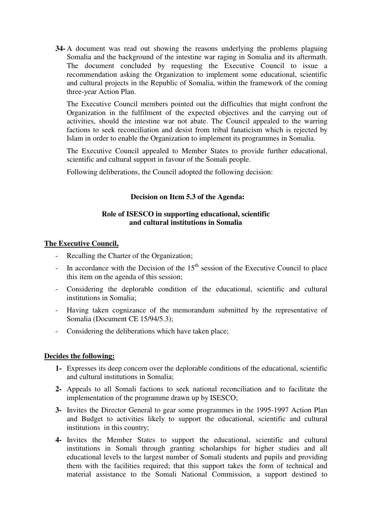**34-** A document was read out showing the reasons underlying the problems plaguing Somalia and the background of the intestine war raging in Somalia and its aftermath. The document concluded by requesting the Executive Council to issue a recommendation asking the Organization to implement some educational, scientific and cultural projects in the Republic of Somalia, within the framework of the coming three-year Action Plan.

The Executive Council members pointed out the difficulties that might confront the Organization in the fulfilment of the expected objectives and the carrying out of activities, should the intestine war not abate. The Council appealed to the warring factions to seek reconciliation and desist from tribal fanaticism which is rejected by Islam in order to enable the Organization to implement its programmes in Somalia.

The Executive Council appealed to Member States to provide further educational, scientific and cultural support in favour of the Somali people.

Following deliberations, the Council adopted the following decision:

## **Decision on Item 5.3 of the Agenda:**

### **Role of ISESCO in supporting educational, scientific and cultural institutions in Somalia**

## **The Executive Council,**

- Recalling the Charter of the Organization;
- In accordance with the Decision of the  $15<sup>th</sup>$  session of the Executive Council to place this item on the agenda of this session;
- Considering the deplorable condition of the educational, scientific and cultural institutions in Somalia;
- Having taken cognizance of the memorandum submitted by the representative of Somalia (Document CE 15/94/5.3);
- Considering the deliberations which have taken place;

#### **Decides the following:**

- **1-** Expresses its deep concern over the deplorable conditions of the educational, scientific and cultural institutions in Somalia;
- **2-** Appeals to all Somali factions to seek national reconciliation and to facilitate the implementation of the programme drawn up by ISESCO;
- **3-** Invites the Director General to gear some programmes in the 1995-1997 Action Plan and Budget to activities likely to support the educational, scientific and cultural institutions in this country;
- **4-** Invites the Member States to support the educational, scientific and cultural institutions in Somali through granting scholarships for higher studies and all educational levels to the largest number of Somali students and pupils and providing them with the facilities required; that this support takes the form of technical and material assistance to the Somali National Commission, a support destined to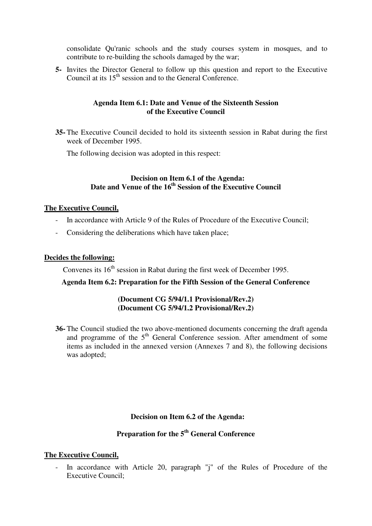consolidate Qu'ranic schools and the study courses system in mosques, and to contribute to re-building the schools damaged by the war;

**5-** Invites the Director General to follow up this question and report to the Executive Council at its 15<sup>th</sup> session and to the General Conference.

## **Agenda Item 6.1: Date and Venue of the Sixteenth Session of the Executive Council**

**35-** The Executive Council decided to hold its sixteenth session in Rabat during the first week of December 1995.

The following decision was adopted in this respect:

#### **Decision on Item 6.1 of the Agenda: Date and Venue of the 16th Session of the Executive Council**

#### **The Executive Council,**

- In accordance with Article 9 of the Rules of Procedure of the Executive Council;
- Considering the deliberations which have taken place;

#### **Decides the following:**

Convenes its  $16<sup>th</sup>$  session in Rabat during the first week of December 1995.

#### **Agenda Item 6.2: Preparation for the Fifth Session of the General Conference**

#### **(Document CG 5/94/1.1 Provisional/Rev.2) (Document CG 5/94/1.2 Provisional/Rev.2)**

**36-** The Council studied the two above-mentioned documents concerning the draft agenda and programme of the  $5<sup>th</sup>$  General Conference session. After amendment of some items as included in the annexed version (Annexes 7 and 8), the following decisions was adopted;

#### **Decision on Item 6.2 of the Agenda:**

# **Preparation for the 5th General Conference**

#### **The Executive Council,**

- In accordance with Article 20, paragraph "j" of the Rules of Procedure of the Executive Council;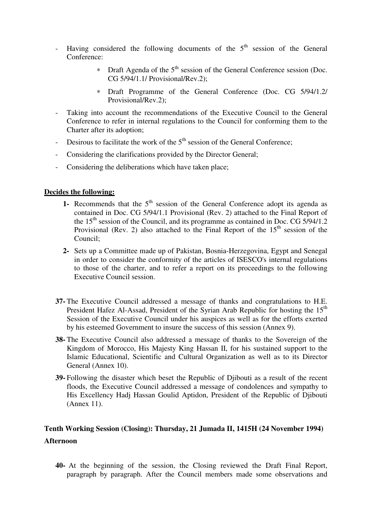- Having considered the following documents of the  $5<sup>th</sup>$  session of the General Conference:
	- ∗ Draft Agenda of the 5th session of the General Conference session (Doc. CG 5/94/1.1/ Provisional/Rev.2);
	- ∗ Draft Programme of the General Conference (Doc. CG 5/94/1.2/ Provisional/Rev.2);
- Taking into account the recommendations of the Executive Council to the General Conference to refer in internal regulations to the Council for conforming them to the Charter after its adoption;
- Desirous to facilitate the work of the  $5<sup>th</sup>$  session of the General Conference;
- Considering the clarifications provided by the Director General;
- Considering the deliberations which have taken place;

- **1-** Recommends that the 5<sup>th</sup> session of the General Conference adopt its agenda as contained in Doc. CG 5/94/1.1 Provisional (Rev. 2) attached to the Final Report of the  $15<sup>th</sup>$  session of the Council, and its programme as contained in Doc. CG 5/94/1.2 Provisional (Rev. 2) also attached to the Final Report of the  $15<sup>th</sup>$  session of the Council;
- **2-** Sets up a Committee made up of Pakistan, Bosnia-Herzegovina, Egypt and Senegal in order to consider the conformity of the articles of ISESCO's internal regulations to those of the charter, and to refer a report on its proceedings to the following Executive Council session.
- **37-** The Executive Council addressed a message of thanks and congratulations to H.E. President Hafez Al-Assad, President of the Syrian Arab Republic for hosting the 15<sup>th</sup> Session of the Executive Council under his auspices as well as for the efforts exerted by his esteemed Government to insure the success of this session (Annex 9).
- **38-** The Executive Council also addressed a message of thanks to the Sovereign of the Kingdom of Morocco, His Majesty King Hassan II, for his sustained support to the Islamic Educational, Scientific and Cultural Organization as well as to its Director General (Annex 10).
- **39-** Following the disaster which beset the Republic of Djibouti as a result of the recent floods, the Executive Council addressed a message of condolences and sympathy to His Excellency Hadj Hassan Goulid Aptidon, President of the Republic of Djibouti (Annex 11).

# **Tenth Working Session (Closing): Thursday, 21 Jumada II, 1415H (24 November 1994) Afternoon**

**40-** At the beginning of the session, the Closing reviewed the Draft Final Report, paragraph by paragraph. After the Council members made some observations and